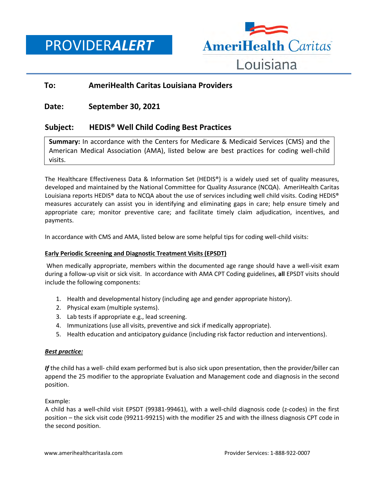PROVIDER*ALERT*



# **To: AmeriHealth Caritas Louisiana Providers**

## **Date: September 30, 2021**

## **Subject: HEDIS® Well Child Coding Best Practices**

**Summary:** In accordance with the Centers for Medicare & Medicaid Services (CMS) and the American Medical Association (AMA), listed below are best practices for coding well-child visits.

The Healthcare Effectiveness Data & Information Set (HEDIS®) is a widely used set of quality measures, developed and maintained by the National Committee for Quality Assurance (NCQA). AmeriHealth Caritas Louisiana reports HEDIS® data to NCQA about the use of services including well child visits. Coding HEDIS® measures accurately can assist you in identifying and eliminating gaps in care; help ensure timely and appropriate care; monitor preventive care; and facilitate timely claim adjudication, incentives, and payments.

In accordance with CMS and AMA, listed below are some helpful tips for coding well-child visits:

#### **Early Periodic Screening and Diagnostic Treatment Visits (EPSDT)**

When medically appropriate, members within the documented age range should have a well-visit exam during a follow-up visit or sick visit. In accordance with AMA CPT Coding guidelines, **all** EPSDT visits should include the following components:

- 1. Health and developmental history (including age and gender appropriate history).
- 2. Physical exam (multiple systems).
- 3. Lab tests if appropriate e.g., lead screening.
- 4. Immunizations (use all visits, preventive and sick if medically appropriate).
- 5. Health education and anticipatory guidance (including risk factor reduction and interventions).

## *Best practice:*

*If* the child has a well- child exam performed but is also sick upon presentation, then the provider/biller can append the 25 modifier to the appropriate Evaluation and Management code and diagnosis in the second position.

## Example:

A child has a well-child visit EPSDT (99381-99461), with a well-child diagnosis code (z-codes) in the first position – the sick visit code (99211-99215) with the modifier 25 and with the illness diagnosis CPT code in the second position.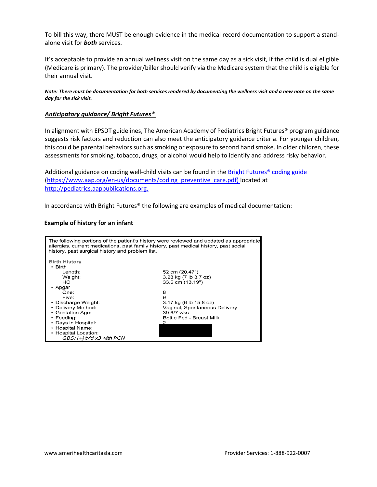To bill this way, there MUST be enough evidence in the medical record documentation to support a standalone visit for *both* services.

It's acceptable to provide an annual wellness visit on the same day as a sick visit, if the child is dual eligible (Medicare is primary). The provider/biller should verify via the Medicare system that the child is eligible for their annual visit.

*Note: There must be documentation for both services rendered by documenting the wellness visit and a new note on the same day for the sick visit.* 

#### *Anticipatory guidance/ Bright Futures®*

In alignment with EPSDT guidelines, The American Academy of Pediatrics Bright Futures® program guidance suggests risk factors and reduction can also meet the anticipatory guidance criteria. For younger children, this could be parental behaviors such as smoking or exposure to second hand smoke. In older children, these assessments for smoking, tobacco, drugs, or alcohol would help to identify and address risky behavior.

Additional guidance on coding well-child visits can be found in the [Bright Futures®](https://www.aap.org/en-us/documents/coding_preventive_care.pdf) coding guide [\(https://www.aap.org/en-us/documents/coding\\_preventive\\_care.pdf\)](https://www.aap.org/en-us/documents/coding_preventive_care.pdf) located at [http://pediatrics.aappublications.org.](http://pediatrics.aappublications.org/)

In accordance with Bright Futures® the following are examples of medical documentation:

### **Example of history for an infant**

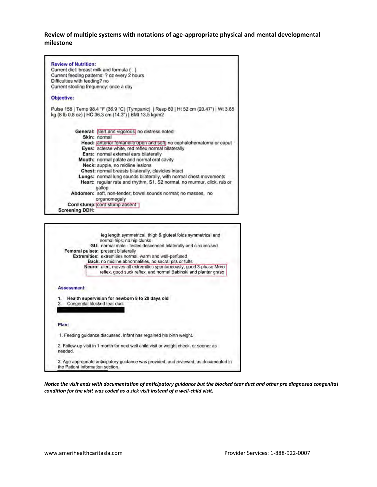**Review of multiple systems with notations of age-appropriate physical and mental developmental milestone**

|                                          | <b>Review of Nutrition:</b>                                                                                                                     |  |  |
|------------------------------------------|-------------------------------------------------------------------------------------------------------------------------------------------------|--|--|
| Current diet: breast milk and formula () |                                                                                                                                                 |  |  |
|                                          | Current feeding patterns: ? oz every 2 hours                                                                                                    |  |  |
|                                          | Difficulties with feeding? no                                                                                                                   |  |  |
|                                          | Current stooling frequency: once a day                                                                                                          |  |  |
|                                          | Objective:                                                                                                                                      |  |  |
|                                          | Pulse 158   Temp 98.4 "F (36.9 "C) (Tympanic)   Resp 60   Ht 52 cm (20.47")   Wt 3,65<br>kg (8 lb 0.8 oz)   HC 36.3 cm (14.3")   BMI 13.5 kg/m2 |  |  |
|                                          | General: alert and vigorous) no distress noted                                                                                                  |  |  |
|                                          | Skin: normal                                                                                                                                    |  |  |
|                                          | Head: antenor fontanelle open and soft no cephalohematoma or caput                                                                              |  |  |
|                                          | Eyes: sclerae white, red reflex normal bilaterally                                                                                              |  |  |
|                                          | Ears: normal external ears bilaterally                                                                                                          |  |  |
|                                          | Mouth: normal palate and normal oral cavity                                                                                                     |  |  |
|                                          | Neck: supple, no midline lesions                                                                                                                |  |  |
|                                          | Chest: normal breasts bilaterally, clavicles intact                                                                                             |  |  |
|                                          | Lungs: normal lung sounds bilaterally, with normal chest movements                                                                              |  |  |
|                                          | Heart: regular rate and rhythm, S1, S2 normal, no murmur, click, rub or<br>gallop                                                               |  |  |
|                                          | Abdomen: soft, non-tender; bowel sounds normal; no masses, no<br>organomegaly                                                                   |  |  |
|                                          | Cord stump: cord stump absent                                                                                                                   |  |  |
|                                          | <b>Screening DDH:</b>                                                                                                                           |  |  |



*Notice the visit ends with documentation of anticipatory guidance but the blocked tear duct and other pre diagnosed congenital condition for the visit was coded as a sick visit instead of a well-child visit.*